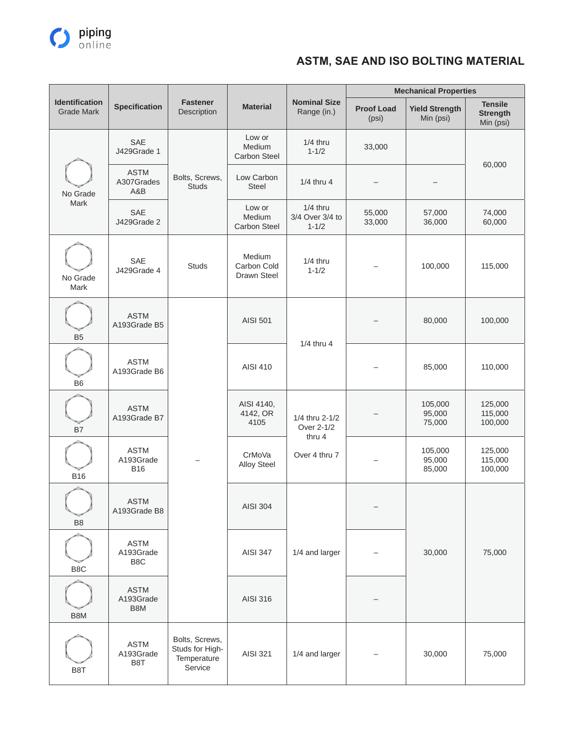

|                                            |                                        |                                                             |                                         |                                                         |                            | <b>Mechanical Properties</b>       |                                                |
|--------------------------------------------|----------------------------------------|-------------------------------------------------------------|-----------------------------------------|---------------------------------------------------------|----------------------------|------------------------------------|------------------------------------------------|
| <b>Identification</b><br><b>Grade Mark</b> | <b>Specification</b>                   | <b>Fastener</b><br>Description                              | <b>Material</b>                         | <b>Nominal Size</b><br>Range (in.)                      | <b>Proof Load</b><br>(psi) | <b>Yield Strength</b><br>Min (psi) | <b>Tensile</b><br><b>Strength</b><br>Min (psi) |
|                                            | <b>SAE</b><br>J429Grade 1              |                                                             | Low or<br>Medium<br>Carbon Steel        | $1/4$ thru<br>$1 - 1/2$                                 | 33,000                     |                                    | 60,000                                         |
| No Grade                                   | <b>ASTM</b><br>A307Grades<br>A&B       | Bolts, Screws,<br><b>Studs</b>                              | Low Carbon<br><b>Steel</b>              | 1/4 thru 4                                              |                            |                                    |                                                |
| Mark                                       | <b>SAE</b><br>J429Grade 2              |                                                             | Low or<br>Medium<br><b>Carbon Steel</b> | $1/4$ thru<br>3/4 Over 3/4 to<br>$1 - 1/2$              | 55,000<br>33,000           | 57,000<br>36,000                   | 74,000<br>60,000                               |
| No Grade<br>Mark                           | SAE<br>J429Grade 4                     | <b>Studs</b>                                                | Medium<br>Carbon Cold<br>Drawn Steel    | $1/4$ thru<br>$1 - 1/2$                                 |                            | 100,000                            | 115,000                                        |
| B <sub>5</sub>                             | <b>ASTM</b><br>A193Grade B5            |                                                             | AISI 501                                | 1/4 thru 4                                              |                            | 80,000                             | 100,000                                        |
| B <sub>6</sub>                             | <b>ASTM</b><br>A193Grade B6            |                                                             | AISI 410                                |                                                         |                            | 85,000                             | 110,000                                        |
| <b>B7</b>                                  | <b>ASTM</b><br>A193Grade B7            |                                                             | AISI 4140,<br>4142, OR<br>4105          | 1/4 thru 2-1/2<br>Over 2-1/2<br>thru 4<br>Over 4 thru 7 |                            | 105,000<br>95,000<br>75,000        | 125,000<br>115,000<br>100,000                  |
| <b>B16</b>                                 | <b>ASTM</b><br>A193Grade<br><b>B16</b> |                                                             | CrMoVa<br><b>Alloy Steel</b>            |                                                         |                            | 105,000<br>95,000<br>85,000        | 125,000<br>115,000<br>100,000                  |
| B <sub>8</sub>                             | ASTM<br>A193Grade B8                   |                                                             | AISI 304                                | 1/4 and larger                                          | -                          |                                    |                                                |
| B <sub>8</sub> C                           | <b>ASTM</b><br>A193Grade<br>B8C        |                                                             | <b>AISI 347</b>                         |                                                         |                            | 30,000                             | 75,000                                         |
| B8M                                        | <b>ASTM</b><br>A193Grade<br>B8M        |                                                             | AISI 316                                |                                                         |                            |                                    |                                                |
| B8T                                        | <b>ASTM</b><br>A193Grade<br>B8T        | Bolts, Screws,<br>Studs for High-<br>Temperature<br>Service | AISI 321                                | 1/4 and larger                                          |                            | 30,000                             | 75,000                                         |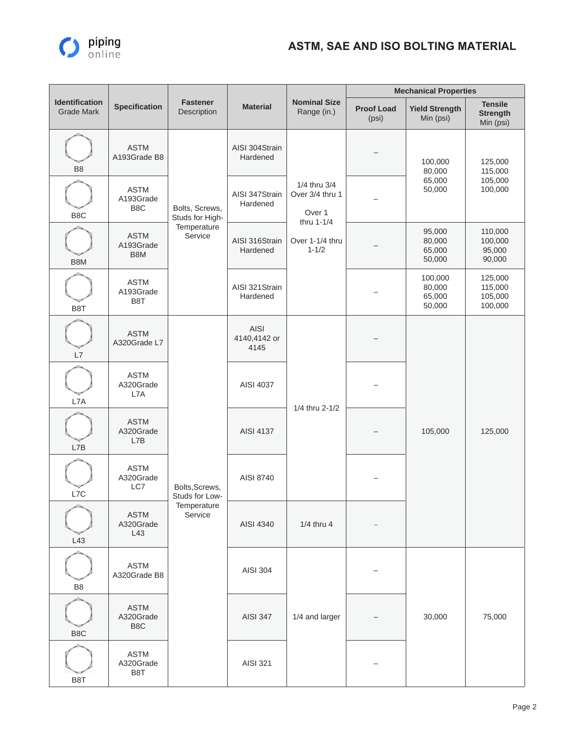

|                                            |                                              |                                                            |                              |                                                         |                            | <b>Mechanical Properties</b>          |                                                |
|--------------------------------------------|----------------------------------------------|------------------------------------------------------------|------------------------------|---------------------------------------------------------|----------------------------|---------------------------------------|------------------------------------------------|
| <b>Identification</b><br><b>Grade Mark</b> | <b>Specification</b>                         | <b>Fastener</b><br>Description                             | <b>Material</b>              | <b>Nominal Size</b><br>Range (in.)                      | <b>Proof Load</b><br>(psi) | <b>Yield Strength</b><br>Min (psi)    | <b>Tensile</b><br><b>Strength</b><br>Min (psi) |
| B <sub>8</sub>                             | <b>ASTM</b><br>A193Grade B8                  |                                                            | AISI 304Strain<br>Hardened   |                                                         |                            | 100,000<br>80,000                     | 125,000<br>115,000<br>105,000<br>100,000       |
| B <sub>8</sub> C                           | <b>ASTM</b><br>A193Grade<br>B8C              | Bolts, Screws,<br>Studs for High-                          | AISI 347Strain<br>Hardened   | 1/4 thru 3/4<br>Over 3/4 thru 1<br>Over 1<br>thru 1-1/4 |                            | 65,000<br>50,000                      |                                                |
| B8M                                        | <b>ASTM</b><br>A193Grade<br>B8M              | Temperature<br>Service                                     | AISI 316Strain<br>Hardened   | Over 1-1/4 thru<br>$1 - 1/2$                            |                            | 95,000<br>80,000<br>65,000<br>50,000  | 110,000<br>100,000<br>95,000<br>90,000         |
| B <sub>8</sub> T                           | <b>ASTM</b><br>A193Grade<br>B8T              |                                                            | AISI 321 Strain<br>Hardened  |                                                         |                            | 100,000<br>80,000<br>65,000<br>50,000 | 125,000<br>115,000<br>105,000<br>100,000       |
| L7                                         | <b>ASTM</b><br>A320Grade L7                  | Bolts, Screws,<br>Studs for Low-<br>Temperature<br>Service | AISI<br>4140,4142 or<br>4145 | 1/4 thru 2-1/2                                          |                            | 105,000                               | 125,000                                        |
| L7A                                        | <b>ASTM</b><br>A320Grade<br>L7A              |                                                            | AISI 4037                    |                                                         |                            |                                       |                                                |
| L7B                                        | <b>ASTM</b><br>A320Grade<br>L7B              |                                                            | AISI 4137                    |                                                         |                            |                                       |                                                |
| L7C                                        | <b>ASTM</b><br>A320Grade<br>LC7              |                                                            | AISI 8740                    |                                                         |                            |                                       |                                                |
| L43                                        | <b>ASTM</b><br>A320Grade<br>L43              |                                                            | AISI 4340                    | $1/4$ thru 4                                            |                            |                                       |                                                |
| B <sub>8</sub>                             | <b>ASTM</b><br>A320Grade B8                  |                                                            | AISI 304                     |                                                         |                            |                                       |                                                |
| B8C                                        | <b>ASTM</b><br>A320Grade<br>B <sub>8</sub> C |                                                            | <b>AISI 347</b>              | 1/4 and larger                                          |                            | 30,000                                | 75,000                                         |
| B8T                                        | <b>ASTM</b><br>A320Grade<br>B8T              |                                                            | AISI 321                     |                                                         |                            |                                       |                                                |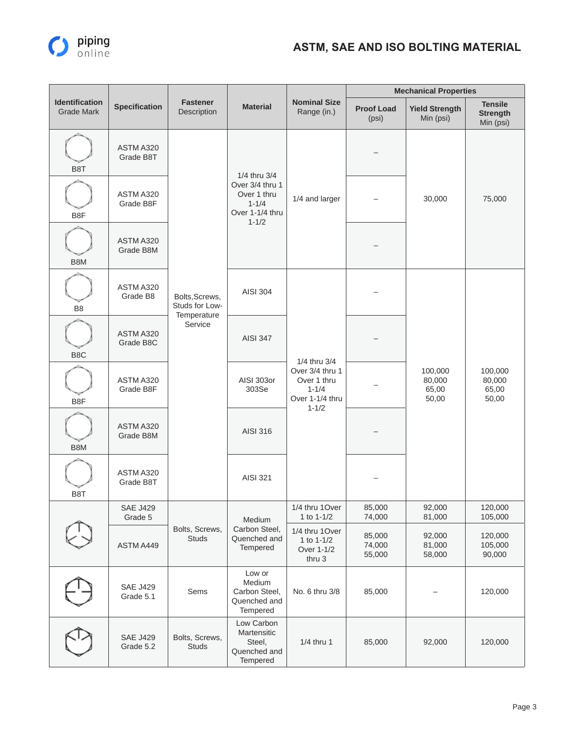

|                                            |                              |                                                            |                                                                 |                                                                                             |                            | <b>Mechanical Properties</b>        |                                                |
|--------------------------------------------|------------------------------|------------------------------------------------------------|-----------------------------------------------------------------|---------------------------------------------------------------------------------------------|----------------------------|-------------------------------------|------------------------------------------------|
| <b>Identification</b><br><b>Grade Mark</b> | <b>Specification</b>         | <b>Fastener</b><br>Description                             | <b>Material</b>                                                 | <b>Nominal Size</b><br>Range (in.)                                                          | <b>Proof Load</b><br>(psi) | <b>Yield Strength</b><br>Min (psi)  | <b>Tensile</b><br><b>Strength</b><br>Min (psi) |
| B <sub>8</sub> T                           | ASTM A320<br>Grade B8T       |                                                            | 1/4 thru 3/4                                                    |                                                                                             |                            |                                     |                                                |
| B8F                                        | ASTM A320<br>Grade B8F       |                                                            | Over 3/4 thru 1<br>Over 1 thru<br>$1 - 1/4$<br>Over 1-1/4 thru  | $1 - 1/2$                                                                                   | 1/4 and larger             |                                     | 30,000                                         |
| B8M                                        | ASTM A320<br>Grade B8M       |                                                            |                                                                 |                                                                                             |                            |                                     |                                                |
| B <sub>8</sub>                             | ASTM A320<br>Grade B8        | Bolts, Screws,<br>Studs for Low-<br>Temperature<br>Service | <b>AISI 304</b>                                                 | 1/4 thru 3/4<br>Over 3/4 thru 1<br>Over 1 thru<br>$1 - 1/4$<br>Over 1-1/4 thru<br>$1 - 1/2$ |                            | 100,000<br>80,000<br>65,00<br>50,00 | 100,000<br>80,000<br>65,00<br>50,00            |
| B <sub>8</sub> C                           | ASTM A320<br>Grade B8C       |                                                            | <b>AISI 347</b>                                                 |                                                                                             |                            |                                     |                                                |
| B8F                                        | ASTM A320<br>Grade B8F       |                                                            | AISI 303or<br>303Se                                             |                                                                                             |                            |                                     |                                                |
| B8M                                        | ASTM A320<br>Grade B8M       |                                                            | AISI 316                                                        |                                                                                             |                            |                                     |                                                |
| B <sub>8</sub> T                           | ASTM A320<br>Grade B8T       |                                                            | AISI 321                                                        |                                                                                             |                            |                                     |                                                |
|                                            | <b>SAE J429</b><br>Grade 5   |                                                            | Medium                                                          | 1/4 thru 1 Over<br>1 to 1-1/2                                                               | 85,000<br>74,000           | 92,000<br>81,000                    | 120,000<br>105,000                             |
|                                            | ASTM A449                    | Bolts, Screws,<br><b>Studs</b>                             | Carbon Steel,<br>Quenched and<br>Tempered                       | 1/4 thru 1Over<br>1 to 1-1/2<br>Over 1-1/2<br>thru 3                                        | 85,000<br>74,000<br>55,000 | 92,000<br>81,000<br>58,000          | 120,000<br>105,000<br>90,000                   |
|                                            | <b>SAE J429</b><br>Grade 5.1 | Sems                                                       | Low or<br>Medium<br>Carbon Steel,<br>Quenched and<br>Tempered   | No. 6 thru 3/8                                                                              | 85,000                     |                                     | 120,000                                        |
|                                            | <b>SAE J429</b><br>Grade 5.2 | Bolts, Screws,<br><b>Studs</b>                             | Low Carbon<br>Martensitic<br>Steel,<br>Quenched and<br>Tempered | 1/4 thru 1                                                                                  | 85,000                     | 92,000                              | 120,000                                        |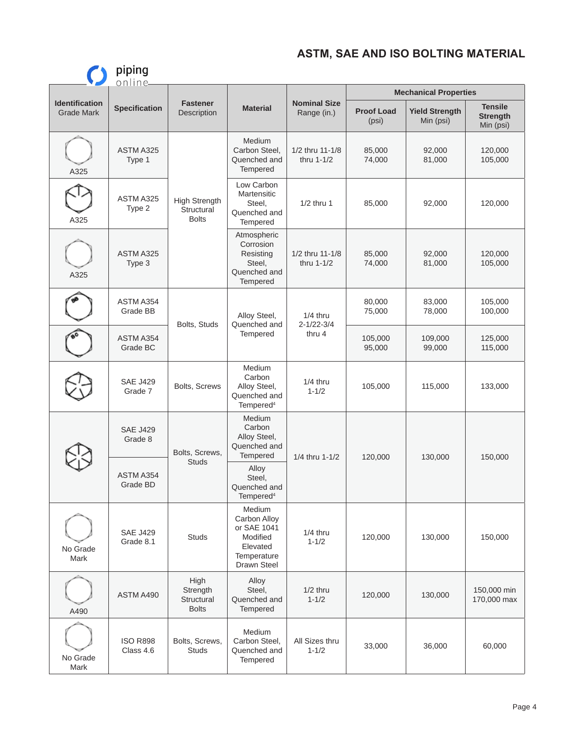|                                            | piping<br>online             |                                                    |                                                                                                    |                                    |                                |                                    |                                                |                    |
|--------------------------------------------|------------------------------|----------------------------------------------------|----------------------------------------------------------------------------------------------------|------------------------------------|--------------------------------|------------------------------------|------------------------------------------------|--------------------|
|                                            |                              |                                                    |                                                                                                    |                                    | <b>Mechanical Properties</b>   |                                    |                                                |                    |
| <b>Identification</b><br><b>Grade Mark</b> | <b>Specification</b>         | <b>Fastener</b><br>Description                     | <b>Material</b>                                                                                    | <b>Nominal Size</b><br>Range (in.) | <b>Proof Load</b><br>(psi)     | <b>Yield Strength</b><br>Min (psi) | <b>Tensile</b><br><b>Strength</b><br>Min (psi) |                    |
| A325                                       | ASTM A325<br>Type 1          |                                                    | <b>Medium</b><br>Carbon Steel,<br>Quenched and<br>Tempered                                         | 1/2 thru 11-1/8<br>thru 1-1/2      | 85,000<br>74,000               | 92,000<br>81,000                   | 120,000<br>105,000                             |                    |
| A325                                       | ASTM A325<br>Type 2          | <b>High Strength</b><br>Structural<br><b>Bolts</b> | Low Carbon<br>Martensitic<br>Steel,<br>Quenched and<br>Tempered                                    | $1/2$ thru 1                       | 85,000                         | 92,000                             | 120,000                                        |                    |
| A325                                       | ASTM A325<br>Type 3          |                                                    | Atmospheric<br>Corrosion<br>Resisting<br>Steel,<br>Quenched and<br>Tempered                        | 1/2 thru 11-1/8<br>thru 1-1/2      | 85,000<br>74,000               | 92,000<br>81,000                   | 120,000<br>105,000                             |                    |
|                                            | ASTM A354<br>Grade BB        | Bolts, Studs                                       |                                                                                                    | Alloy Steel,<br>Quenched and       | $1/4$ thru<br>$2 - 1/22 - 3/4$ | 80,000<br>75,000                   | 83,000<br>78,000                               | 105,000<br>100,000 |
|                                            | ASTM A354<br>Grade BC        |                                                    | Tempered                                                                                           | thru 4                             | 105,000<br>95,000              | 109,000<br>99,000                  | 125,000<br>115,000                             |                    |
|                                            | <b>SAE J429</b><br>Grade 7   | <b>Bolts, Screws</b>                               | Medium<br>Carbon<br>Alloy Steel,<br>Quenched and<br>Tempered <sup>4</sup>                          | $1/4$ thru<br>$1 - 1/2$            | 105,000                        | 115,000                            | 133,000                                        |                    |
|                                            | <b>SAE J429</b><br>Grade 8   | Bolts, Screws,                                     | <b>Medium</b><br>Carbon<br>Alloy Steel,<br>Quenched and<br><b>Tempered</b>                         | 1/4 thru 1-1/2                     | 120,000                        | 130,000                            | 150,000                                        |                    |
|                                            | ASTM A354<br>Grade BD        | <b>Studs</b>                                       | Alloy<br>Steel,<br>Quenched and<br>Tempered <sup>4</sup>                                           |                                    |                                |                                    |                                                |                    |
| No Grade<br>Mark                           | <b>SAE J429</b><br>Grade 8.1 | <b>Studs</b>                                       | Medium<br>Carbon Alloy<br>or SAE 1041<br>Modified<br>Elevated<br>Temperature<br><b>Drawn Steel</b> | $1/4$ thru<br>$1 - 1/2$            | 120,000                        | 130,000                            | 150,000                                        |                    |
| A490                                       | ASTM A490                    | High<br>Strength<br>Structural<br><b>Bolts</b>     | Alloy<br>Steel,<br>Quenched and<br>Tempered                                                        | $1/2$ thru<br>$1 - 1/2$            | 120,000                        | 130,000                            | 150,000 min<br>170,000 max                     |                    |
| No Grade<br>Mark                           | <b>ISO R898</b><br>Class 4.6 | Bolts, Screws,<br><b>Studs</b>                     | Medium<br>Carbon Steel,<br>Quenched and<br>Tempered                                                | All Sizes thru<br>$1 - 1/2$        | 33,000                         | 36,000                             | 60,000                                         |                    |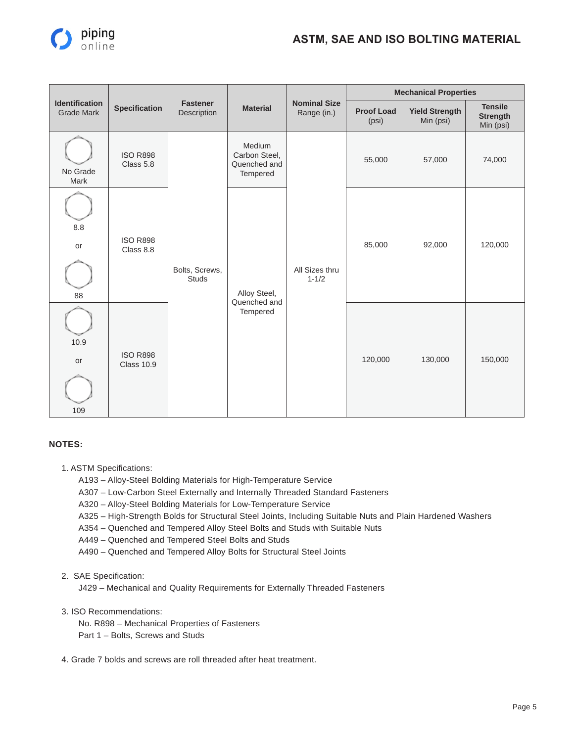

|                                            |                                                                      |                                |                                                     |                                    |                            | <b>Mechanical Properties</b>       |                                                |  |  |
|--------------------------------------------|----------------------------------------------------------------------|--------------------------------|-----------------------------------------------------|------------------------------------|----------------------------|------------------------------------|------------------------------------------------|--|--|
| <b>Identification</b><br><b>Grade Mark</b> | <b>Specification</b>                                                 | <b>Fastener</b><br>Description | <b>Material</b>                                     | <b>Nominal Size</b><br>Range (in.) | <b>Proof Load</b><br>(psi) | <b>Yield Strength</b><br>Min (psi) | <b>Tensile</b><br><b>Strength</b><br>Min (psi) |  |  |
| No Grade<br>Mark                           | <b>ISO R898</b><br>Class 5.8                                         |                                | Medium<br>Carbon Steel,<br>Quenched and<br>Tempered |                                    | 55,000                     | 57,000                             | 74,000                                         |  |  |
| 8.8<br>or<br>88                            | <b>ISO R898</b><br>Class 8.8<br><b>ISO R898</b><br><b>Class 10.9</b> | Bolts, Screws,<br><b>Studs</b> | Alloy Steel,                                        | All Sizes thru<br>$1 - 1/2$        | 85,000                     | 92,000                             | 120,000                                        |  |  |
| 10.9<br>or<br>109                          |                                                                      |                                | Quenched and<br>Tempered                            |                                    | 120,000                    | 130,000                            | 150,000                                        |  |  |

#### **NOTES:**

- 1. ASTM Specifications:
	- A193 Alloy-Steel Bolding Materials for High-Temperature Service
	- A307 Low-Carbon Steel Externally and Internally Threaded Standard Fasteners
	- A320 Alloy-Steel Bolding Materials for Low-Temperature Service
	- A325 High-Strength Bolds for Structural Steel Joints, Including Suitable Nuts and Plain Hardened Washers
	- A354 Quenched and Tempered Alloy Steel Bolts and Studs with Suitable Nuts
	- A449 Quenched and Tempered Steel Bolts and Studs
	- A490 Quenched and Tempered Alloy Bolts for Structural Steel Joints
- 2. SAE Specification:

J429 – Mechanical and Quality Requirements for Externally Threaded Fasteners

- 3. ISO Recommendations:
	- No. R898 Mechanical Properties of Fasteners Part 1 – Bolts, Screws and Studs
- 4. Grade 7 bolds and screws are roll threaded after heat treatment.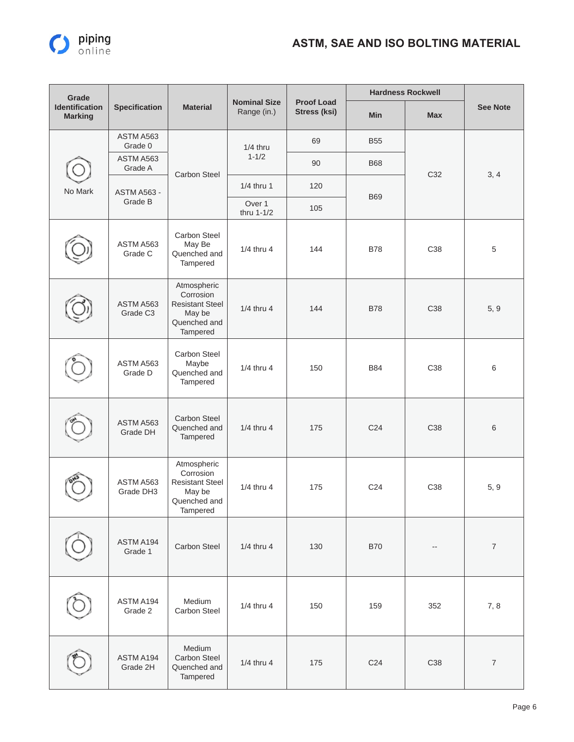

| Grade                                   |                                   |                                                                                          |                                    |                                          |                 | <b>Hardness Rockwell</b> |                                                                                  |
|-----------------------------------------|-----------------------------------|------------------------------------------------------------------------------------------|------------------------------------|------------------------------------------|-----------------|--------------------------|----------------------------------------------------------------------------------|
| <b>Identification</b><br><b>Marking</b> | <b>Specification</b>              | <b>Material</b>                                                                          | <b>Nominal Size</b><br>Range (in.) | <b>Proof Load</b><br><b>Stress (ksi)</b> | <b>Min</b>      | <b>Max</b>               | <b>See Note</b>                                                                  |
|                                         | ASTM A563<br>Grade 0              |                                                                                          | $1/4$ thru                         | 69                                       | <b>B55</b>      |                          |                                                                                  |
|                                         | ASTM A563<br>Grade A              |                                                                                          | $1 - 1/2$                          | 90                                       | <b>B68</b>      |                          |                                                                                  |
| No Mark                                 | <b>ASTM A563 -</b>                | <b>Carbon Steel</b>                                                                      | 1/4 thru 1                         | 120                                      |                 | C32                      | 3, 4<br>5<br>5, 9<br>6<br>6<br>5, 9<br>$\boldsymbol{7}$<br>7,8<br>$\overline{7}$ |
|                                         | Grade B                           |                                                                                          | Over 1<br>thru 1-1/2               | 105                                      | <b>B69</b>      |                          |                                                                                  |
|                                         | ASTM A563<br>Grade C              | Carbon Steel<br>May Be<br>Quenched and<br>Tampered                                       | 1/4 thru 4                         | 144                                      | <b>B78</b>      | C38                      |                                                                                  |
|                                         | ASTM A563<br>Grade C <sub>3</sub> | Atmospheric<br>Corrosion<br><b>Resistant Steel</b><br>May be<br>Quenched and<br>Tampered | 1/4 thru 4                         | 144                                      | <b>B78</b>      | C38                      |                                                                                  |
|                                         | ASTM A563<br>Grade D              | Carbon Steel<br>Maybe<br>Quenched and<br>Tampered                                        | $1/4$ thru 4                       | 150                                      | <b>B84</b>      | C38                      |                                                                                  |
|                                         | ASTM A563<br>Grade DH             | Carbon Steel<br>Quenched and<br>Tampered                                                 | 1/4 thru 4                         | 175                                      | C <sub>24</sub> | C38                      |                                                                                  |
|                                         | ASTM A563<br>Grade DH3            | Atmospheric<br>Corrosion<br><b>Resistant Steel</b><br>May be<br>Quenched and<br>Tampered | $1/4$ thru 4                       | 175                                      | C <sub>24</sub> | C38                      |                                                                                  |
|                                         | ASTM A194<br>Grade 1              | Carbon Steel                                                                             | 1/4 thru 4                         | 130                                      | <b>B70</b>      | $\overline{a}$           |                                                                                  |
|                                         | ASTM A194<br>Grade 2              | Medium<br>Carbon Steel                                                                   | 1/4 thru 4                         | 150                                      | 159             | 352                      |                                                                                  |
|                                         | ASTM A194<br>Grade 2H             | Medium<br>Carbon Steel<br>Quenched and<br>Tampered                                       | 1/4 thru 4                         | 175                                      | C <sub>24</sub> | C38                      |                                                                                  |